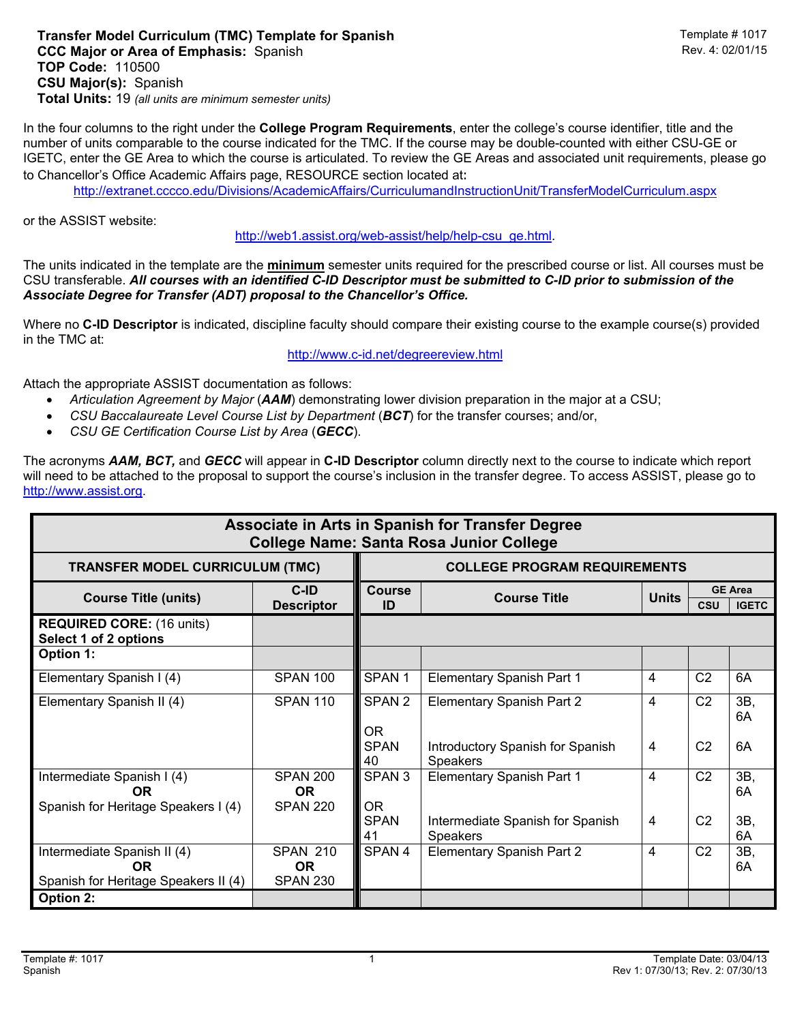## **Transfer Model Curriculum (TMC) Template for Spanish <br>CCC Maior or Area of Emphasis: Spanish CCC Maior or Area of Emphasis: Spanish CCC Maior or Area of Emphasis: S CCC Major or Area of Emphasis: Spanish TOP Code:** 110500 **CSU Major(s):** Spanish **Total Units:** 19 *(all units are minimum semester units)*

In the four columns to the right under the **College Program Requirements**, enter the college's course identifier, title and the number of units comparable to the course indicated for the TMC. If the course may be double-counted with either CSU-GE or IGETC, enter the GE Area to which the course is articulated. To review the GE Areas and associated unit requirements, please go to Chancellor's Office Academic Affairs page, RESOURCE section located at:

http://extranet.cccco.edu/Divisions/AcademicAffairs/CurriculumandInstructionUnit/TransferModelCurriculum.aspx

or the ASSIST website:

http://web1.assist.org/web-assist/help/help-csu\_ge.html.

The units indicated in the template are the **minimum** semester units required for the prescribed course or list. All courses must be CSU transferable. *All courses with an identified C-ID Descriptor must be submitted to C-ID prior to submission of the Associate Degree for Transfer (ADT) proposal to the Chancellor's Office.*

Where no **C-ID Descriptor** is indicated, discipline faculty should compare their existing course to the example course(s) provided in the TMC at:

http://www.c-id.net/degreereview.html

Attach the appropriate ASSIST documentation as follows:

- *Articulation Agreement by Major* (*AAM*) demonstrating lower division preparation in the major at a CSU;
- *CSU Baccalaureate Level Course List by Department* (*BCT*) for the transfer courses; and/or,
- *CSU GE Certification Course List by Area* (*GECC*).

The acronyms *AAM, BCT,* and *GECC* will appear in **C-ID Descriptor** column directly next to the course to indicate which report will need to be attached to the proposal to support the course's inclusion in the transfer degree. To access ASSIST, please go to http://www.assist.org.

| Associate in Arts in Spanish for Transfer Degree<br><b>College Name: Santa Rosa Junior College</b> |                                                 |                                     |                                                     |                |                |                                |  |  |  |
|----------------------------------------------------------------------------------------------------|-------------------------------------------------|-------------------------------------|-----------------------------------------------------|----------------|----------------|--------------------------------|--|--|--|
| <b>TRANSFER MODEL CURRICULUM (TMC)</b>                                                             |                                                 | <b>COLLEGE PROGRAM REQUIREMENTS</b> |                                                     |                |                |                                |  |  |  |
| <b>Course Title (units)</b>                                                                        | C-ID<br><b>Descriptor</b>                       | <b>Course</b><br>ID                 | <b>Course Title</b>                                 | <b>Units</b>   | <b>CSU</b>     | <b>GE Area</b><br><b>IGETC</b> |  |  |  |
| <b>REQUIRED CORE: (16 units)</b><br>Select 1 of 2 options                                          |                                                 |                                     |                                                     |                |                |                                |  |  |  |
| Option 1:                                                                                          |                                                 |                                     |                                                     |                |                |                                |  |  |  |
| Elementary Spanish I (4)                                                                           | <b>SPAN 100</b>                                 | SPAN <sub>1</sub>                   | <b>Elementary Spanish Part 1</b>                    | 4              | C <sub>2</sub> | 6A                             |  |  |  |
| Elementary Spanish II (4)                                                                          | <b>SPAN 110</b>                                 | SPAN <sub>2</sub>                   | Elementary Spanish Part 2                           | 4              | C <sub>2</sub> | 3B,<br>6A                      |  |  |  |
|                                                                                                    |                                                 | OR.<br><b>SPAN</b><br>40            | Introductory Spanish for Spanish<br><b>Speakers</b> | $\overline{4}$ | C <sub>2</sub> | 6A                             |  |  |  |
| Intermediate Spanish I (4)<br><b>OR</b>                                                            | <b>SPAN 200</b><br><b>OR</b>                    | SPAN <sub>3</sub>                   | <b>Elementary Spanish Part 1</b>                    | 4              | C <sub>2</sub> | 3B,<br>6A                      |  |  |  |
| Spanish for Heritage Speakers I (4)                                                                | <b>SPAN 220</b>                                 | <b>OR</b><br><b>SPAN</b><br>41      | Intermediate Spanish for Spanish<br>Speakers        | $\overline{4}$ | C <sub>2</sub> | 3B,<br>6A                      |  |  |  |
| Intermediate Spanish II (4)<br>0R<br>Spanish for Heritage Speakers II (4)                          | <b>SPAN 210</b><br><b>OR</b><br><b>SPAN 230</b> | SPAN 4                              | <b>Elementary Spanish Part 2</b>                    | 4              | C <sub>2</sub> | 3B,<br>6A                      |  |  |  |
| <b>Option 2:</b>                                                                                   |                                                 |                                     |                                                     |                |                |                                |  |  |  |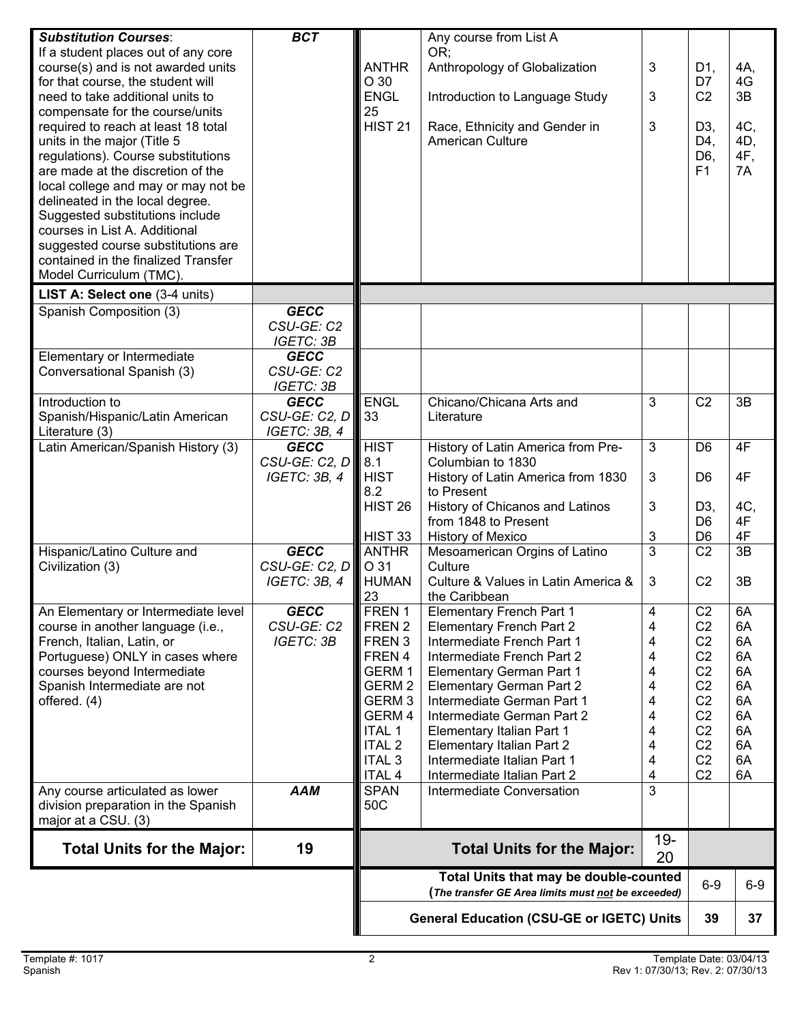| <b>Substitution Courses:</b>                                           | <b>BCT</b>                    |                                                                                              | Any course from List A                                             |                           |                                  |          |
|------------------------------------------------------------------------|-------------------------------|----------------------------------------------------------------------------------------------|--------------------------------------------------------------------|---------------------------|----------------------------------|----------|
| If a student places out of any core                                    |                               |                                                                                              | OR;                                                                |                           |                                  |          |
| course(s) and is not awarded units                                     |                               | <b>ANTHR</b>                                                                                 | Anthropology of Globalization                                      | 3                         | D1,                              | 4A,      |
| for that course, the student will                                      |                               | O 30                                                                                         |                                                                    |                           | D7                               | 4G       |
| need to take additional units to                                       |                               | <b>ENGL</b><br>25                                                                            | Introduction to Language Study                                     | 3                         | C <sub>2</sub>                   | 3B       |
| compensate for the course/units<br>required to reach at least 18 total |                               | <b>HIST 21</b>                                                                               | Race, Ethnicity and Gender in                                      | 3                         | D3,                              | 4C,      |
| units in the major (Title 5                                            |                               |                                                                                              | American Culture                                                   |                           | D4,                              | 4D,      |
| regulations). Course substitutions                                     |                               |                                                                                              |                                                                    |                           | D6,                              | 4F,      |
| are made at the discretion of the                                      |                               |                                                                                              |                                                                    |                           | F <sub>1</sub>                   | 7A       |
| local college and may or may not be                                    |                               |                                                                                              |                                                                    |                           |                                  |          |
| delineated in the local degree.                                        |                               |                                                                                              |                                                                    |                           |                                  |          |
| Suggested substitutions include                                        |                               |                                                                                              |                                                                    |                           |                                  |          |
| courses in List A. Additional                                          |                               |                                                                                              |                                                                    |                           |                                  |          |
| suggested course substitutions are                                     |                               |                                                                                              |                                                                    |                           |                                  |          |
| contained in the finalized Transfer<br>Model Curriculum (TMC).         |                               |                                                                                              |                                                                    |                           |                                  |          |
|                                                                        |                               |                                                                                              |                                                                    |                           |                                  |          |
| LIST A: Select one (3-4 units)<br>Spanish Composition (3)              | <b>GECC</b>                   |                                                                                              |                                                                    |                           |                                  |          |
|                                                                        | CSU-GE: C2                    |                                                                                              |                                                                    |                           |                                  |          |
|                                                                        | IGETC: 3B                     |                                                                                              |                                                                    |                           |                                  |          |
| Elementary or Intermediate                                             | <b>GECC</b>                   |                                                                                              |                                                                    |                           |                                  |          |
| Conversational Spanish (3)                                             | CSU-GE: C2                    |                                                                                              |                                                                    |                           |                                  |          |
|                                                                        | <b>IGETC: 3B</b>              |                                                                                              |                                                                    |                           |                                  |          |
| Introduction to                                                        | <b>GECC</b>                   | <b>ENGL</b>                                                                                  | Chicano/Chicana Arts and                                           | 3                         | C <sub>2</sub>                   | 3B       |
| Spanish/Hispanic/Latin American                                        | CSU-GE: C2, D                 | 33                                                                                           | Literature                                                         |                           |                                  |          |
| Literature (3)                                                         | IGETC: 3B, 4                  |                                                                                              |                                                                    |                           |                                  |          |
| Latin American/Spanish History (3)                                     | <b>GECC</b>                   | <b>HIST</b>                                                                                  | History of Latin America from Pre-                                 | $\mathfrak{3}$            | D <sub>6</sub>                   | 4F       |
|                                                                        | CSU-GE: C2, D<br>IGETC: 3B, 4 | 8.1<br><b>HIST</b>                                                                           | Columbian to 1830                                                  | $\ensuremath{\mathsf{3}}$ | D <sub>6</sub>                   | 4F       |
|                                                                        |                               | 8.2                                                                                          | History of Latin America from 1830<br>to Present                   |                           |                                  |          |
|                                                                        |                               | HIST 26                                                                                      | History of Chicanos and Latinos                                    | 3                         | D3,                              | 4C,      |
|                                                                        |                               |                                                                                              | from 1848 to Present                                               |                           | D <sub>6</sub>                   | 4F       |
|                                                                        |                               | HIST 33                                                                                      | History of Mexico                                                  | 3                         | D <sub>6</sub>                   | 4F       |
| Hispanic/Latino Culture and                                            | <b>GECC</b>                   | <b>ANTHR</b>                                                                                 | Mesoamerican Orgins of Latino                                      | 3                         | C <sub>2</sub>                   | 3B       |
| Civilization (3)                                                       | CSU-GE: C2, D                 | O 31                                                                                         | Culture                                                            |                           |                                  |          |
|                                                                        | IGETC: 3B, 4                  | <b>HUMAN</b>                                                                                 | Culture & Values in Latin America &                                | 3                         | C <sub>2</sub>                   | 3B       |
|                                                                        |                               | 23                                                                                           | the Caribbean                                                      |                           |                                  |          |
| An Elementary or Intermediate level                                    | <b>GECC</b><br>CSU-GE: C2     | FREN 1<br>FREN 2                                                                             | <b>Elementary French Part 1</b><br><b>Elementary French Part 2</b> | 4<br>4                    | C <sub>2</sub><br>C <sub>2</sub> | 6A<br>6A |
| course in another language (i.e.,<br>French, Italian, Latin, or        | <b>IGETC: 3B</b>              | FREN <sub>3</sub>                                                                            | Intermediate French Part 1                                         | 4                         | C <sub>2</sub>                   | 6A       |
| Portuguese) ONLY in cases where                                        |                               | FREN 4                                                                                       | Intermediate French Part 2                                         | 4                         | C <sub>2</sub>                   | 6A       |
| courses beyond Intermediate                                            |                               | GERM 1                                                                                       | <b>Elementary German Part 1</b>                                    | 4                         | C <sub>2</sub>                   | 6A       |
| Spanish Intermediate are not                                           |                               | GERM 2                                                                                       | <b>Elementary German Part 2</b>                                    | 4                         | C <sub>2</sub>                   | 6A       |
| offered. (4)                                                           |                               | GERM <sub>3</sub>                                                                            | Intermediate German Part 1                                         | 4                         | C <sub>2</sub>                   | 6A       |
|                                                                        |                               | GERM 4                                                                                       | Intermediate German Part 2                                         | 4                         | C <sub>2</sub>                   | 6A       |
|                                                                        |                               | <b>ITAL 1</b>                                                                                | Elementary Italian Part 1                                          | 4                         | C <sub>2</sub>                   | 6A       |
|                                                                        |                               | <b>ITAL 2</b>                                                                                | <b>Elementary Italian Part 2</b>                                   | 4                         | C <sub>2</sub>                   | 6A       |
|                                                                        |                               | <b>ITAL 3</b>                                                                                | Intermediate Italian Part 1                                        | 4                         | C <sub>2</sub>                   | 6A       |
|                                                                        | <b>AAM</b>                    | <b>ITAL 4</b><br><b>SPAN</b>                                                                 | Intermediate Italian Part 2<br>Intermediate Conversation           | 4<br>3                    | C <sub>2</sub>                   | 6A       |
| Any course articulated as lower<br>division preparation in the Spanish |                               | 50C                                                                                          |                                                                    |                           |                                  |          |
| major at a CSU. (3)                                                    |                               |                                                                                              |                                                                    |                           |                                  |          |
|                                                                        | 19                            |                                                                                              |                                                                    | $19 -$                    |                                  |          |
| <b>Total Units for the Major:</b>                                      |                               |                                                                                              | <b>Total Units for the Major:</b>                                  | 20                        |                                  |          |
|                                                                        |                               | Total Units that may be double-counted<br>(The transfer GE Area limits must not be exceeded) |                                                                    |                           | $6-9$                            | $6-9$    |
|                                                                        |                               | <b>General Education (CSU-GE or IGETC) Units</b>                                             |                                                                    |                           |                                  | 37       |
|                                                                        |                               |                                                                                              |                                                                    | 39                        |                                  |          |